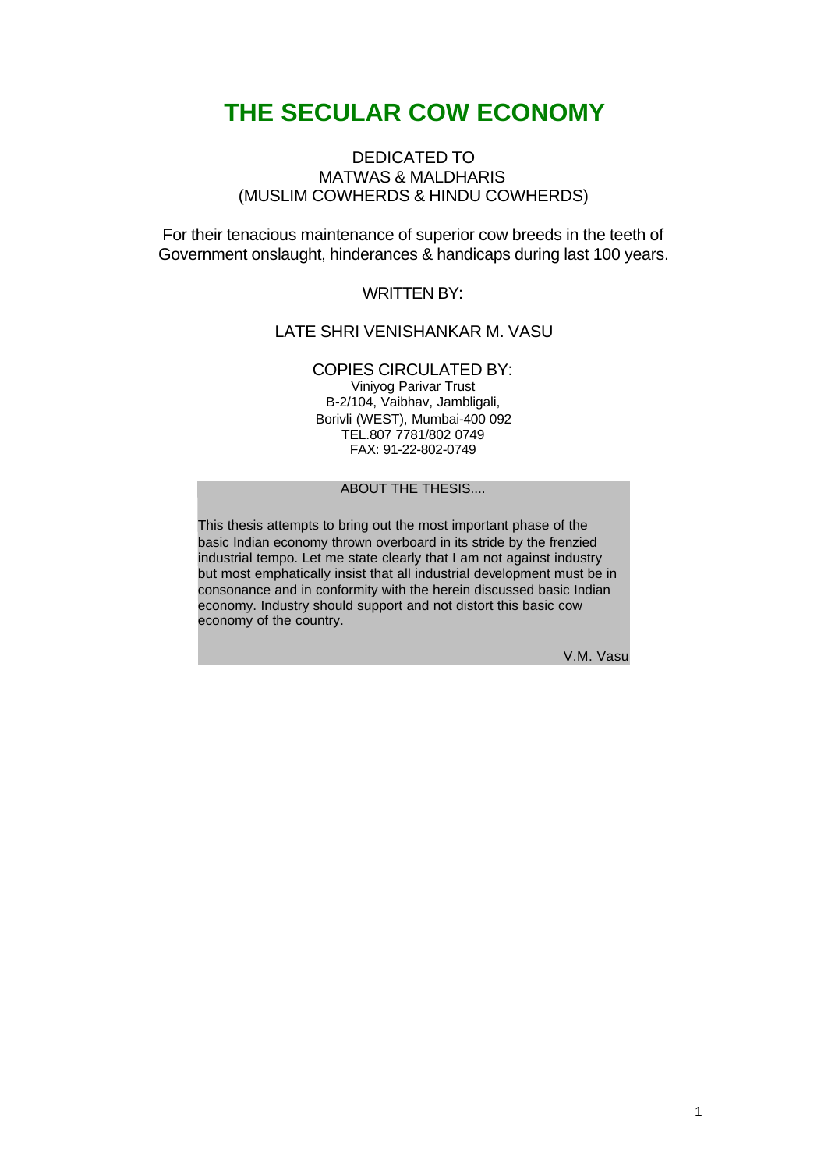#### DEDICATED TO MATWAS & MALDHARIS (MUSLIM COWHERDS & HINDU COWHERDS)

For their tenacious maintenance of superior cow breeds in the teeth of Government onslaught, hinderances & handicaps during last 100 years.

WRITTEN BY:

#### LATE SHRI VENISHANKAR M. VASU

#### COPIES CIRCULATED BY:

Viniyog Parivar Trust B-2/104, Vaibhav, Jambligali, Borivli (WEST), Mumbai-400 092 TEL.807 7781/802 0749 FAX: 91-22-802-0749

ABOUT THE THESIS.

This thesis attempts to bring out the most important phase of the basic Indian economy thrown overboard in its stride by the frenzied industrial tempo. Let me state clearly that I am not against industry but most emphatically insist that all industrial development must be in consonance and in conformity with the herein discussed basic Indian economy. Industry should support and not distort this basic cow economy of the country.

V.M. Vasu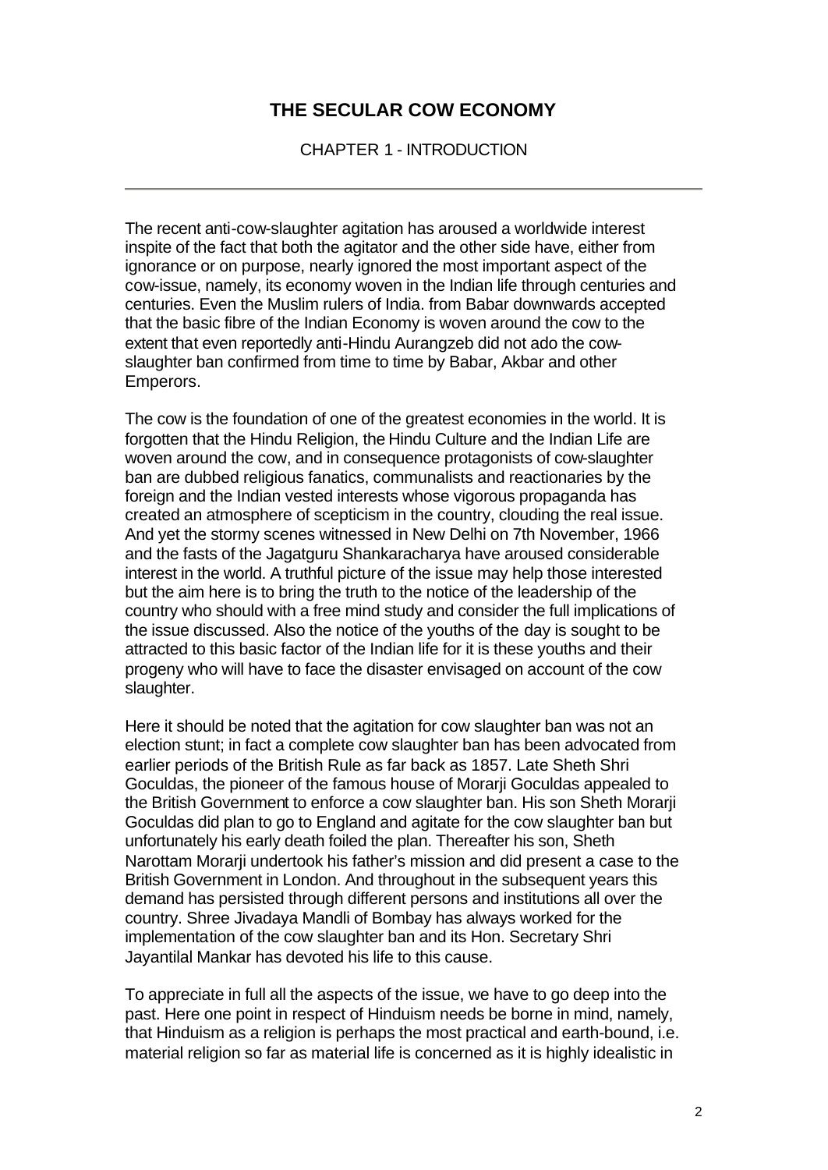CHAPTER 1 - INTRODUCTION

The recent anti-cow-slaughter agitation has aroused a worldwide interest inspite of the fact that both the agitator and the other side have, either from ignorance or on purpose, nearly ignored the most important aspect of the cow-issue, namely, its economy woven in the Indian life through centuries and centuries. Even the Muslim rulers of India. from Babar downwards accepted that the basic fibre of the Indian Economy is woven around the cow to the extent that even reportedly anti-Hindu Aurangzeb did not ado the cowslaughter ban confirmed from time to time by Babar, Akbar and other Emperors.

The cow is the foundation of one of the greatest economies in the world. It is forgotten that the Hindu Religion, the Hindu Culture and the Indian Life are woven around the cow, and in consequence protagonists of cow-slaughter ban are dubbed religious fanatics, communalists and reactionaries by the foreign and the Indian vested interests whose vigorous propaganda has created an atmosphere of scepticism in the country, clouding the real issue. And yet the stormy scenes witnessed in New Delhi on 7th November, 1966 and the fasts of the Jagatguru Shankaracharya have aroused considerable interest in the world. A truthful picture of the issue may help those interested but the aim here is to bring the truth to the notice of the leadership of the country who should with a free mind study and consider the full implications of the issue discussed. Also the notice of the youths of the day is sought to be attracted to this basic factor of the Indian life for it is these youths and their progeny who will have to face the disaster envisaged on account of the cow slaughter.

Here it should be noted that the agitation for cow slaughter ban was not an election stunt; in fact a complete cow slaughter ban has been advocated from earlier periods of the British Rule as far back as 1857. Late Sheth Shri Goculdas, the pioneer of the famous house of Morarji Goculdas appealed to the British Government to enforce a cow slaughter ban. His son Sheth Morarji Goculdas did plan to go to England and agitate for the cow slaughter ban but unfortunately his early death foiled the plan. Thereafter his son, Sheth Narottam Morarii undertook his father's mission and did present a case to the British Government in London. And throughout in the subsequent years this demand has persisted through different persons and institutions all over the country. Shree Jivadaya Mandli of Bombay has always worked for the implementation of the cow slaughter ban and its Hon. Secretary Shri Jayantilal Mankar has devoted his life to this cause.

To appreciate in full all the aspects of the issue, we have to go deep into the past. Here one point in respect of Hinduism needs be borne in mind, namely, that Hinduism as a religion is perhaps the most practical and earth-bound, i.e. material religion so far as material life is concerned as it is highly idealistic in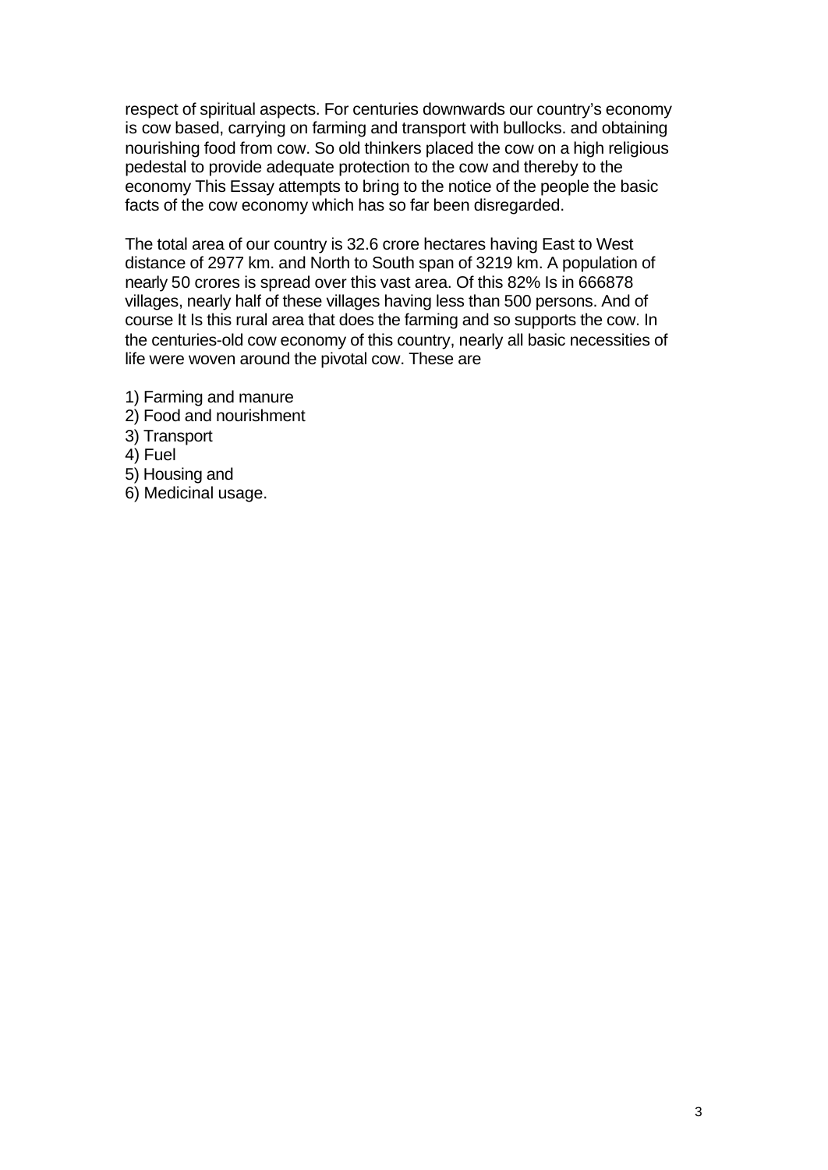respect of spiritual aspects. For centuries downwards our country's economy is cow based, carrying on farming and transport with bullocks. and obtaining nourishing food from cow. So old thinkers placed the cow on a high religious pedestal to provide adequate protection to the cow and thereby to the economy This Essay attempts to bring to the notice of the people the basic facts of the cow economy which has so far been disregarded.

The total area of our country is 32.6 crore hectares having East to West distance of 2977 km. and North to South span of 3219 km. A population of nearly 50 crores is spread over this vast area. Of this 82% Is in 666878 villages, nearly half of these villages having less than 500 persons. And of course It Is this rural area that does the farming and so supports the cow. In the centuries-old cow economy of this country, nearly all basic necessities of life were woven around the pivotal cow. These are

- 1) Farming and manure
- 2) Food and nourishment
- 3) Transport
- 4) Fuel
- 5) Housing and
- 6) Medicinal usage.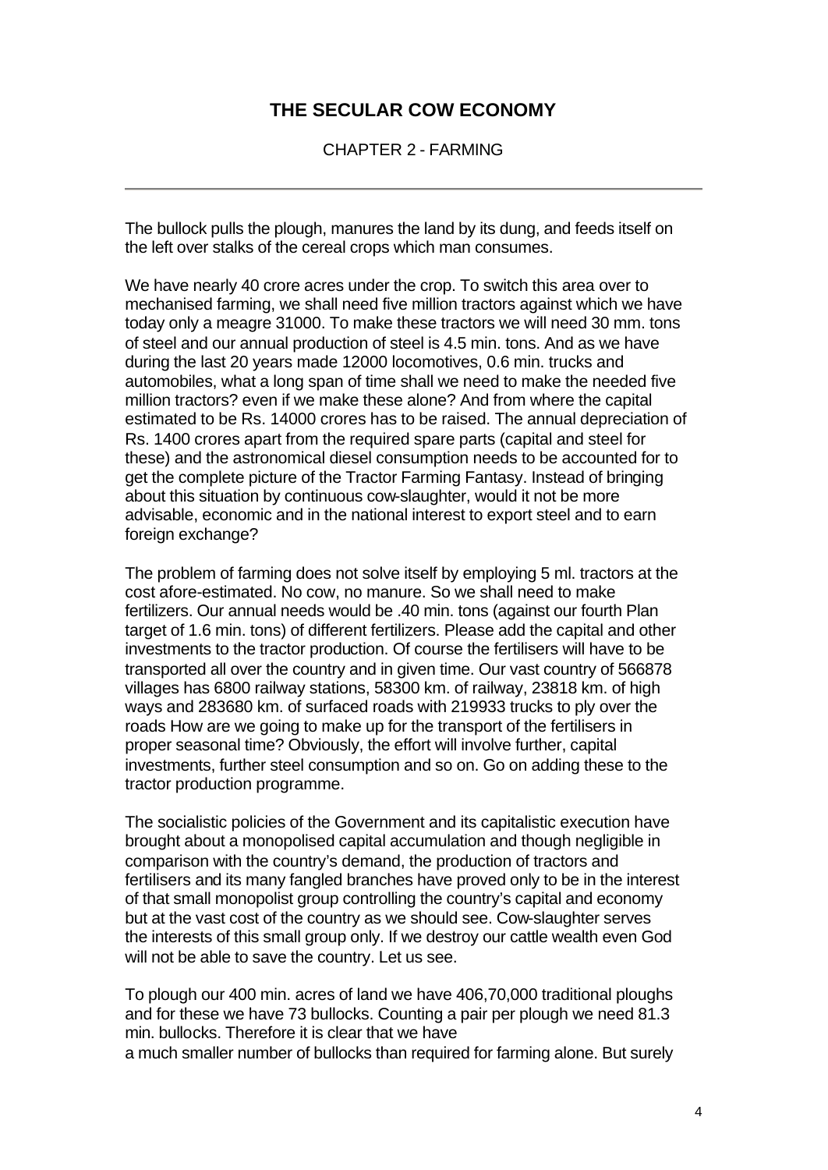CHAPTER 2 - FARMING

The bullock pulls the plough, manures the land by its dung, and feeds itself on the left over stalks of the cereal crops which man consumes.

We have nearly 40 crore acres under the crop. To switch this area over to mechanised farming, we shall need five million tractors against which we have today only a meagre 31000. To make these tractors we will need 30 mm. tons of steel and our annual production of steel is 4.5 min. tons. And as we have during the last 20 years made 12000 locomotives, 0.6 min. trucks and automobiles, what a long span of time shall we need to make the needed five million tractors? even if we make these alone? And from where the capital estimated to be Rs. 14000 crores has to be raised. The annual depreciation of Rs. 1400 crores apart from the required spare parts (capital and steel for these) and the astronomical diesel consumption needs to be accounted for to get the complete picture of the Tractor Farming Fantasy. Instead of bringing about this situation by continuous cow-slaughter, would it not be more advisable, economic and in the national interest to export steel and to earn foreign exchange?

The problem of farming does not solve itself by employing 5 ml. tractors at the cost afore-estimated. No cow, no manure. So we shall need to make fertilizers. Our annual needs would be .40 min. tons (against our fourth Plan target of 1.6 min. tons) of different fertilizers. Please add the capital and other investments to the tractor production. Of course the fertilisers will have to be transported all over the country and in given time. Our vast country of 566878 villages has 6800 railway stations, 58300 km. of railway, 23818 km. of high ways and 283680 km. of surfaced roads with 219933 trucks to ply over the roads How are we going to make up for the transport of the fertilisers in proper seasonal time? Obviously, the effort will involve further, capital investments, further steel consumption and so on. Go on adding these to the tractor production programme.

The socialistic policies of the Government and its capitalistic execution have brought about a monopolised capital accumulation and though negligible in comparison with the country's demand, the production of tractors and fertilisers and its many fangled branches have proved only to be in the interest of that small monopolist group controlling the country's capital and economy but at the vast cost of the country as we should see. Cow-slaughter serves the interests of this small group only. If we destroy our cattle wealth even God will not be able to save the country. Let us see.

To plough our 400 min. acres of land we have 406,70,000 traditional ploughs and for these we have 73 bullocks. Counting a pair per plough we need 81.3 min. bullocks. Therefore it is clear that we have a much smaller number of bullocks than required for farming alone. But surely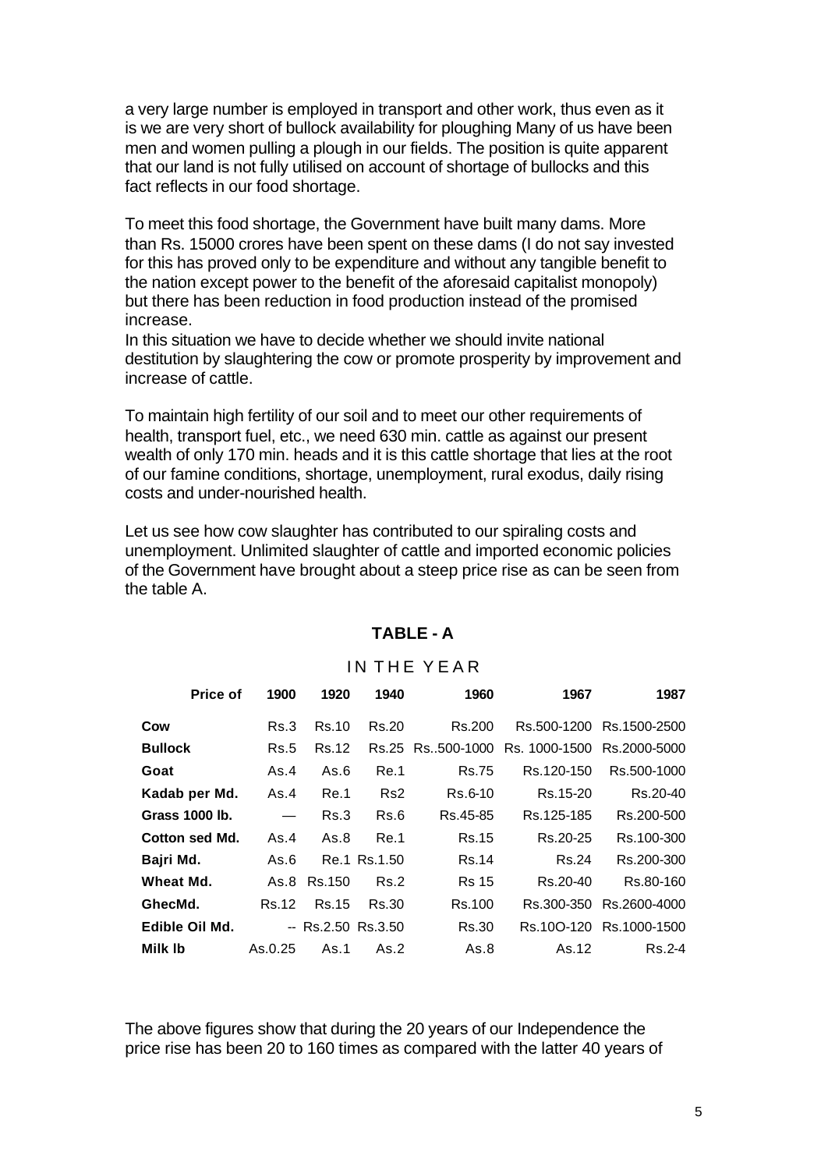a very large number is employed in transport and other work, thus even as it is we are very short of bullock availability for ploughing Many of us have been men and women pulling a plough in our fields. The position is quite apparent that our land is not fully utilised on account of shortage of bullocks and this fact reflects in our food shortage.

To meet this food shortage, the Government have built many dams. More than Rs. 15000 crores have been spent on these dams (I do not say invested for this has proved only to be expenditure and without any tangible benefit to the nation except power to the benefit of the aforesaid capitalist monopoly) but there has been reduction in food production instead of the promised increase.

In this situation we have to decide whether we should invite national destitution by slaughtering the cow or promote prosperity by improvement and increase of cattle.

To maintain high fertility of our soil and to meet our other requirements of health, transport fuel, etc., we need 630 min. cattle as against our present wealth of only 170 min. heads and it is this cattle shortage that lies at the root of our famine conditions, shortage, unemployment, rural exodus, daily rising costs and under-nourished health.

Let us see how cow slaughter has contributed to our spiraling costs and unemployment. Unlimited slaughter of cattle and imported economic policies of the Government have brought about a steep price rise as can be seen from the table A.

| <b>Price of</b> | 1900              | 1920                | 1940            | 1960             | 1967          | 1987                     |
|-----------------|-------------------|---------------------|-----------------|------------------|---------------|--------------------------|
| Cow             | Rs.3              | Rs.10               | Rs.20           | Rs.200           |               | Rs.500-1200 Rs.1500-2500 |
| <b>Bullock</b>  | <b>Rs.5</b>       | Rs.12               |                 | Rs.25 Rs500-1000 | Rs. 1000-1500 | Rs.2000-5000             |
| Goat            | As.4              | As.6                | Re.1            | <b>Rs.75</b>     | Rs.120-150    | Rs.500-1000              |
| Kadab per Md.   | As.4              | Re.1                | Rs <sub>2</sub> | Rs.6-10          | Rs.15-20      | Rs.20-40                 |
| Grass 1000 lb.  | $\hspace{0.05cm}$ | Rs.3                | Rs.6            | Rs.45-85         | Rs.125-185    | Rs.200-500               |
| Cotton sed Md.  | As.4              | As.8                | Re.1            | <b>Rs.15</b>     | Rs.20-25      | Rs.100-300               |
| Bajri Md.       | As.6              |                     | Re.1 Rs.1.50    | Rs.14            | Rs.24         | Rs.200-300               |
| Wheat Md.       | As.8              | Rs.150              | Rs.2            | <b>Rs</b> 15     | Rs.20-40      | Rs.80-160                |
| GhecMd.         | Rs.12             | Rs.15               | Rs.30           | Rs.100           |               | Rs.300-350 Rs.2600-4000  |
| Edible Oil Md.  |                   | $-$ Rs.2.50 Rs.3.50 |                 | Rs.30            |               | Rs.10O-120 Rs.1000-1500  |
| Milk Ib         | As.0.25           | As.1                | As.2            | As.8             | As.12         | Rs.2-4                   |

#### **TABLE - A**

### IN THE YEAR

The above figures show that during the 20 years of our Independence the price rise has been 20 to 160 times as compared with the latter 40 years of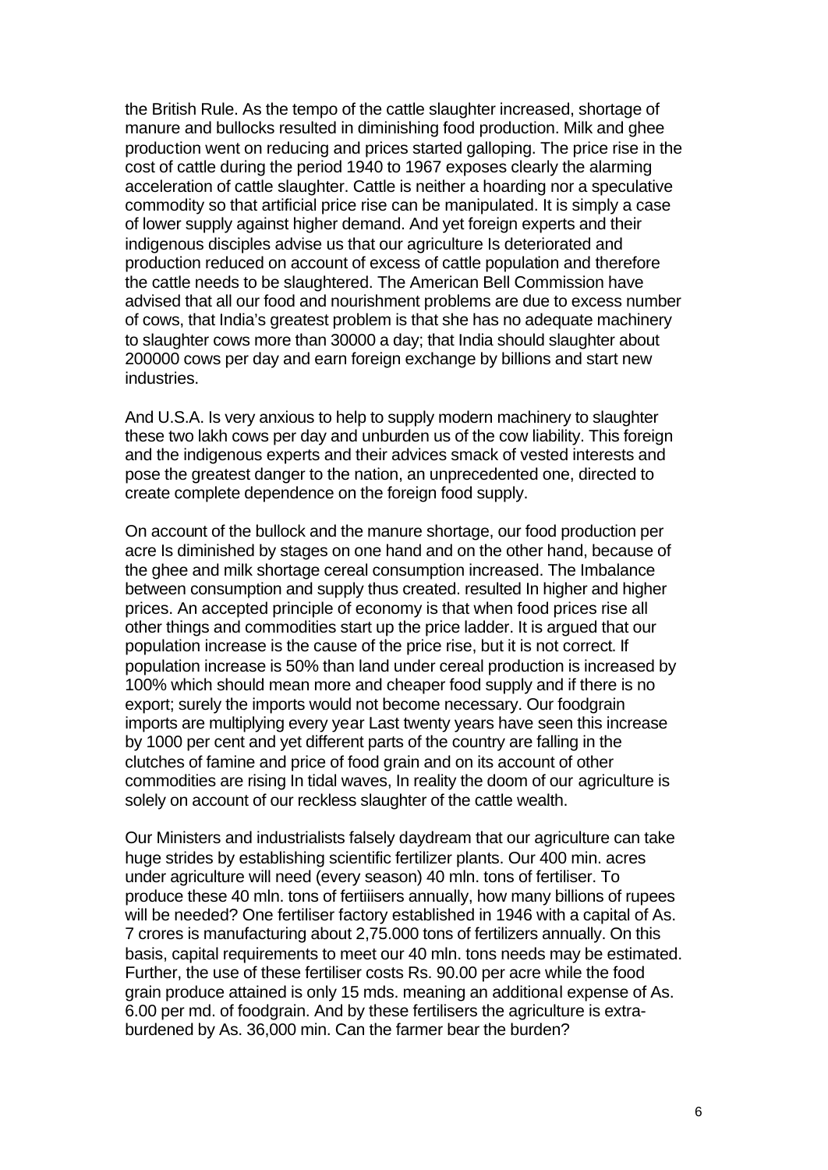the British Rule. As the tempo of the cattle slaughter increased, shortage of manure and bullocks resulted in diminishing food production. Milk and ghee production went on reducing and prices started galloping. The price rise in the cost of cattle during the period 1940 to 1967 exposes clearly the alarming acceleration of cattle slaughter. Cattle is neither a hoarding nor a speculative commodity so that artificial price rise can be manipulated. It is simply a case of lower supply against higher demand. And yet foreign experts and their indigenous disciples advise us that our agriculture Is deteriorated and production reduced on account of excess of cattle population and therefore the cattle needs to be slaughtered. The American Bell Commission have advised that all our food and nourishment problems are due to excess number of cows, that India's greatest problem is that she has no adequate machinery to slaughter cows more than 30000 a day; that India should slaughter about 200000 cows per day and earn foreign exchange by billions and start new industries.

And U.S.A. Is very anxious to help to supply modern machinery to slaughter these two lakh cows per day and unburden us of the cow liability. This foreign and the indigenous experts and their advices smack of vested interests and pose the greatest danger to the nation, an unprecedented one, directed to create complete dependence on the foreign food supply.

On account of the bullock and the manure shortage, our food production per acre Is diminished by stages on one hand and on the other hand, because of the ghee and milk shortage cereal consumption increased. The Imbalance between consumption and supply thus created. resulted In higher and higher prices. An accepted principle of economy is that when food prices rise all other things and commodities start up the price ladder. It is argued that our population increase is the cause of the price rise, but it is not correct. If population increase is 50% than land under cereal production is increased by 100% which should mean more and cheaper food supply and if there is no export; surely the imports would not become necessary. Our foodgrain imports are multiplying every year Last twenty years have seen this increase by 1000 per cent and yet different parts of the country are falling in the clutches of famine and price of food grain and on its account of other commodities are rising In tidal waves, In reality the doom of our agriculture is solely on account of our reckless slaughter of the cattle wealth.

Our Ministers and industrialists falsely daydream that our agriculture can take huge strides by establishing scientific fertilizer plants. Our 400 min. acres under agriculture will need (every season) 40 mln. tons of fertiliser. To produce these 40 mln. tons of fertiiisers annually, how many billions of rupees will be needed? One fertiliser factory established in 1946 with a capital of As. 7 crores is manufacturing about 2,75.000 tons of fertilizers annually. On this basis, capital requirements to meet our 40 mln. tons needs may be estimated. Further, the use of these fertiliser costs Rs. 90.00 per acre while the food grain produce attained is only 15 mds. meaning an additional expense of As. 6.00 per md. of foodgrain. And by these fertilisers the agriculture is extraburdened by As. 36,000 min. Can the farmer bear the burden?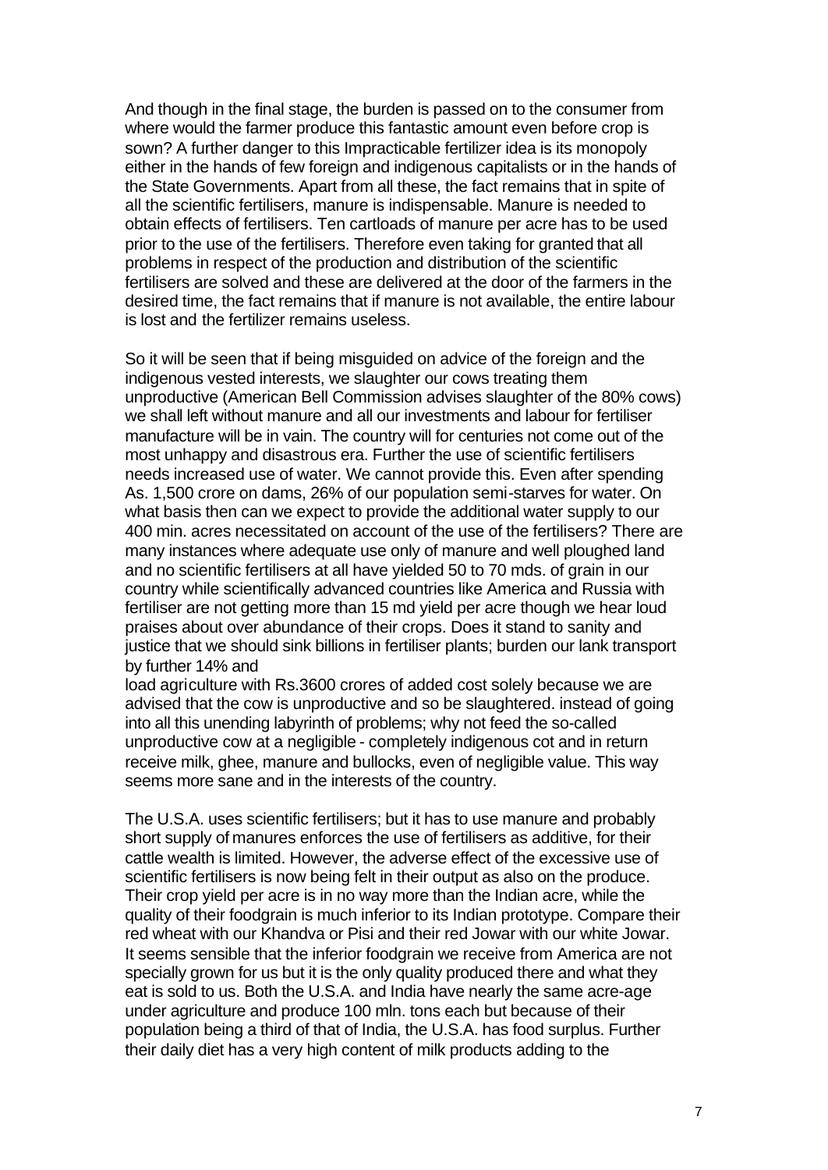And though in the final stage, the burden is passed on to the consumer from where would the farmer produce this fantastic amount even before crop is sown? A further danger to this Impracticable fertilizer idea is its monopoly either in the hands of few foreign and indigenous capitalists or in the hands of the State Governments. Apart from all these, the fact remains that in spite of all the scientific fertilisers, manure is indispensable. Manure is needed to obtain effects of fertilisers. Ten cartloads of manure per acre has to be used prior to the use of the fertilisers. Therefore even taking for granted that all problems in respect of the production and distribution of the scientific fertilisers are solved and these are delivered at the door of the farmers in the desired time, the fact remains that if manure is not available, the entire labour is lost and the fertilizer remains useless.

So it will be seen that if being misguided on advice of the foreign and the indigenous vested interests, we slaughter our cows treating them unproductive (American Bell Commission advises slaughter of the 80% cows) we shall left without manure and all our investments and labour for fertiliser manufacture will be in vain. The country will for centuries not come out of the most unhappy and disastrous era. Further the use of scientific fertilisers needs increased use of water. We cannot provide this. Even after spending As. 1,500 crore on dams, 26% of our population semi-starves for water. On what basis then can we expect to provide the additional water supply to our 400 min. acres necessitated on account of the use of the fertilisers? There are many instances where adequate use only of manure and well ploughed land and no scientific fertilisers at all have yielded 50 to 70 mds. of grain in our country while scientifically advanced countries like America and Russia with fertiliser are not getting more than 15 md yield per acre though we hear loud praises about over abundance of their crops. Does it stand to sanity and justice that we should sink billions in fertiliser plants; burden our lank transport by further 14% and

load agriculture with Rs.3600 crores of added cost solely because we are advised that the cow is unproductive and so be slaughtered. instead of going into all this unending labyrinth of problems; why not feed the so-called unproductive cow at a negligible - completely indigenous cot and in return receive milk, ghee, manure and bullocks, even of negligible value. This way seems more sane and in the interests of the country.

The U.S.A. uses scientific fertilisers; but it has to use manure and probably short supply of manures enforces the use of fertilisers as additive, for their cattle wealth is limited. However, the adverse effect of the excessive use of scientific fertilisers is now being felt in their output as also on the produce. Their crop yield per acre is in no way more than the Indian acre, while the quality of their foodgrain is much inferior to its Indian prototype. Compare their red wheat with our Khandva or Pisi and their red Jowar with our white Jowar. It seems sensible that the inferior foodgrain we receive from America are not specially grown for us but it is the only quality produced there and what they eat is sold to us. Both the U.S.A. and India have nearly the same acre-age under agriculture and produce 100 mln. tons each but because of their population being a third of that of India, the U.S.A. has food surplus. Further their daily diet has a very high content of milk products adding to the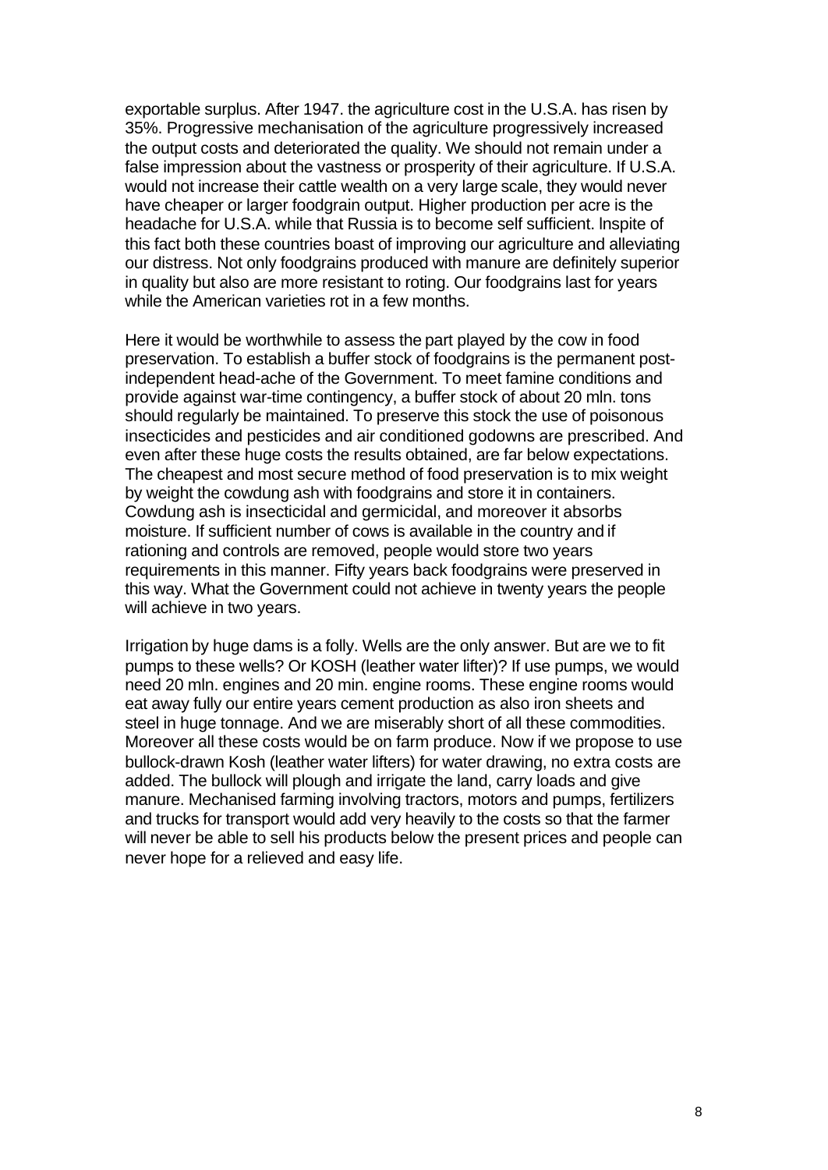exportable surplus. After 1947. the agriculture cost in the U.S.A. has risen by 35%. Progressive mechanisation of the agriculture progressively increased the output costs and deteriorated the quality. We should not remain under a false impression about the vastness or prosperity of their agriculture. If U.S.A. would not increase their cattle wealth on a very large scale, they would never have cheaper or larger foodgrain output. Higher production per acre is the headache for U.S.A. while that Russia is to become self sufficient. lnspite of this fact both these countries boast of improving our agriculture and alleviating our distress. Not only foodgrains produced with manure are definitely superior in quality but also are more resistant to roting. Our foodgrains last for years while the American varieties rot in a few months.

Here it would be worthwhile to assess the part played by the cow in food preservation. To establish a buffer stock of foodgrains is the permanent postindependent head-ache of the Government. To meet famine conditions and provide against war-time contingency, a buffer stock of about 20 mln. tons should regularly be maintained. To preserve this stock the use of poisonous insecticides and pesticides and air conditioned godowns are prescribed. And even after these huge costs the results obtained, are far below expectations. The cheapest and most secure method of food preservation is to mix weight by weight the cowdung ash with foodgrains and store it in containers. Cowdung ash is insecticidal and germicidal, and moreover it absorbs moisture. If sufficient number of cows is available in the country and if rationing and controls are removed, people would store two years requirements in this manner. Fifty years back foodgrains were preserved in this way. What the Government could not achieve in twenty years the people will achieve in two years.

Irrigation by huge dams is a folly. Wells are the only answer. But are we to fit pumps to these wells? Or KOSH (leather water lifter)? If use pumps, we would need 20 mln. engines and 20 min. engine rooms. These engine rooms would eat away fully our entire years cement production as also iron sheets and steel in huge tonnage. And we are miserably short of all these commodities. Moreover all these costs would be on farm produce. Now if we propose to use bullock-drawn Kosh (leather water lifters) for water drawing, no extra costs are added. The bullock will plough and irrigate the land, carry loads and give manure. Mechanised farming involving tractors, motors and pumps, fertilizers and trucks for transport would add very heavily to the costs so that the farmer will never be able to sell his products below the present prices and people can never hope for a relieved and easy life.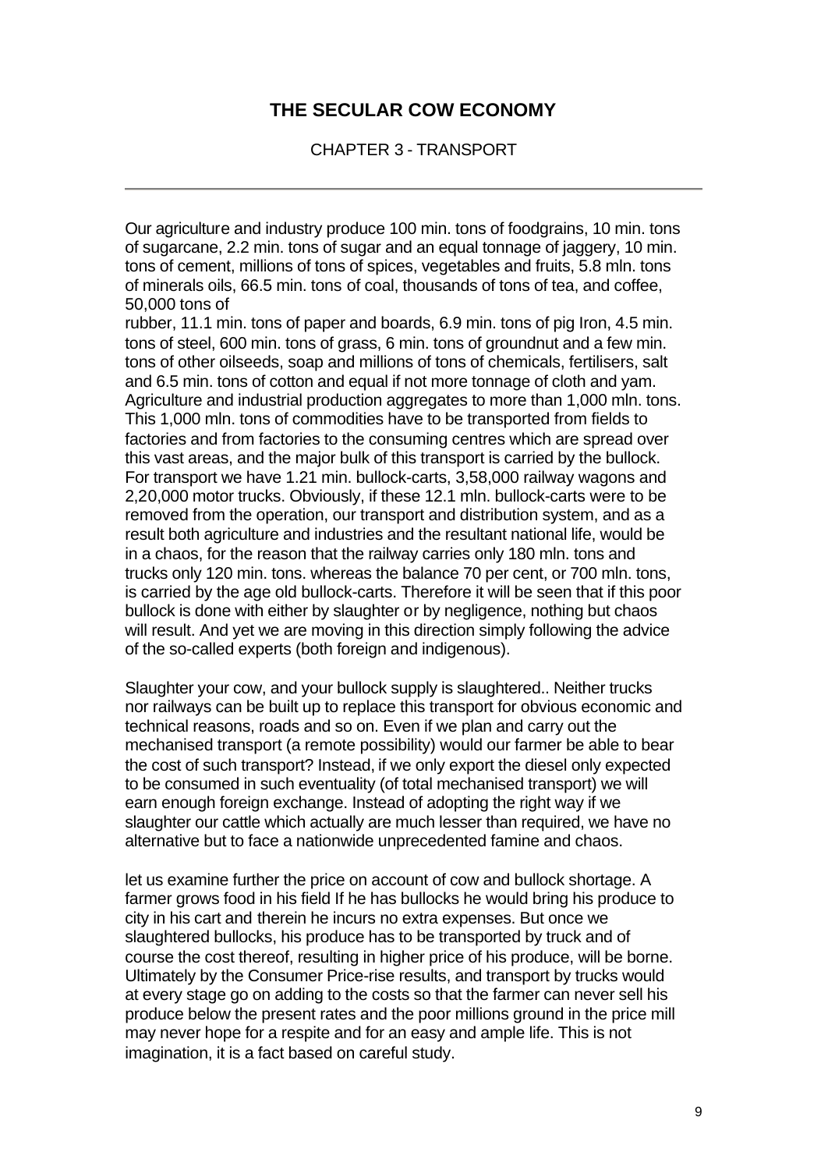CHAPTER 3 - TRANSPORT

Our agriculture and industry produce 100 min. tons of foodgrains, 10 min. tons of sugarcane, 2.2 min. tons of sugar and an equal tonnage of jaggery, 10 min. tons of cement, millions of tons of spices, vegetables and fruits, 5.8 mln. tons of minerals oils, 66.5 min. tons of coal, thousands of tons of tea, and coffee, 50,000 tons of

rubber, 11.1 min. tons of paper and boards, 6.9 min. tons of pig Iron, 4.5 min. tons of steel, 600 min. tons of grass, 6 min. tons of groundnut and a few min. tons of other oilseeds, soap and millions of tons of chemicals, fertilisers, salt and 6.5 min. tons of cotton and equal if not more tonnage of cloth and yam. Agriculture and industrial production aggregates to more than 1,000 mln. tons. This 1,000 mln. tons of commodities have to be transported from fields to factories and from factories to the consuming centres which are spread over this vast areas, and the major bulk of this transport is carried by the bullock. For transport we have 1.21 min. bullock-carts, 3,58,000 railway wagons and 2,20,000 motor trucks. Obviously, if these 12.1 mln. bullock-carts were to be removed from the operation, our transport and distribution system, and as a result both agriculture and industries and the resultant national life, would be in a chaos, for the reason that the railway carries only 180 mln. tons and trucks only 120 min. tons. whereas the balance 70 per cent, or 700 mln. tons, is carried by the age old bullock-carts. Therefore it will be seen that if this poor bullock is done with either by slaughter or by negligence, nothing but chaos will result. And yet we are moving in this direction simply following the advice of the so-called experts (both foreign and indigenous).

Slaughter your cow, and your bullock supply is slaughtered.. Neither trucks nor railways can be built up to replace this transport for obvious economic and technical reasons, roads and so on. Even if we plan and carry out the mechanised transport (a remote possibility) would our farmer be able to bear the cost of such transport? Instead, if we only export the diesel only expected to be consumed in such eventuality (of total mechanised transport) we will earn enough foreign exchange. Instead of adopting the right way if we slaughter our cattle which actually are much lesser than required, we have no alternative but to face a nationwide unprecedented famine and chaos.

let us examine further the price on account of cow and bullock shortage. A farmer grows food in his field If he has bullocks he would bring his produce to city in his cart and therein he incurs no extra expenses. But once we slaughtered bullocks, his produce has to be transported by truck and of course the cost thereof, resulting in higher price of his produce, will be borne. Ultimately by the Consumer Price-rise results, and transport by trucks would at every stage go on adding to the costs so that the farmer can never sell his produce below the present rates and the poor millions ground in the price mill may never hope for a respite and for an easy and ample life. This is not imagination, it is a fact based on careful study.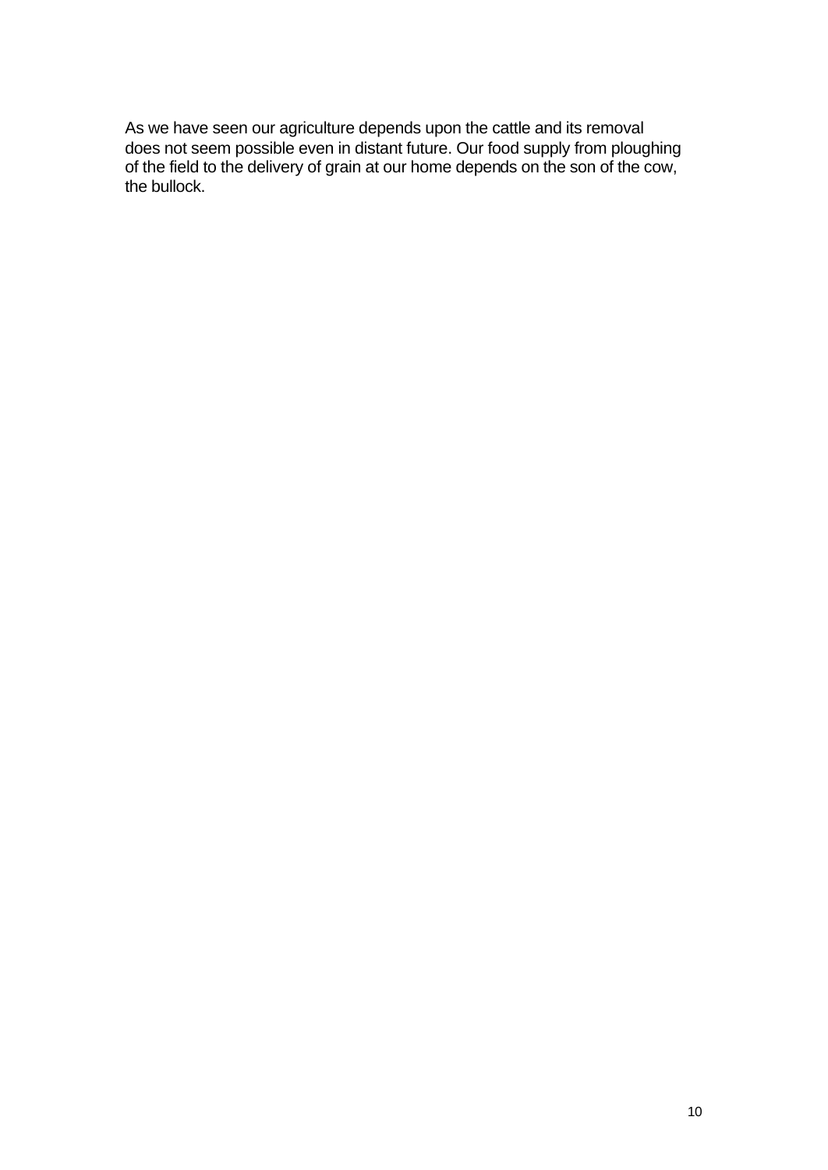As we have seen our agriculture depends upon the cattle and its removal does not seem possible even in distant future. Our food supply from ploughing of the field to the delivery of grain at our home depends on the son of the cow, the bullock.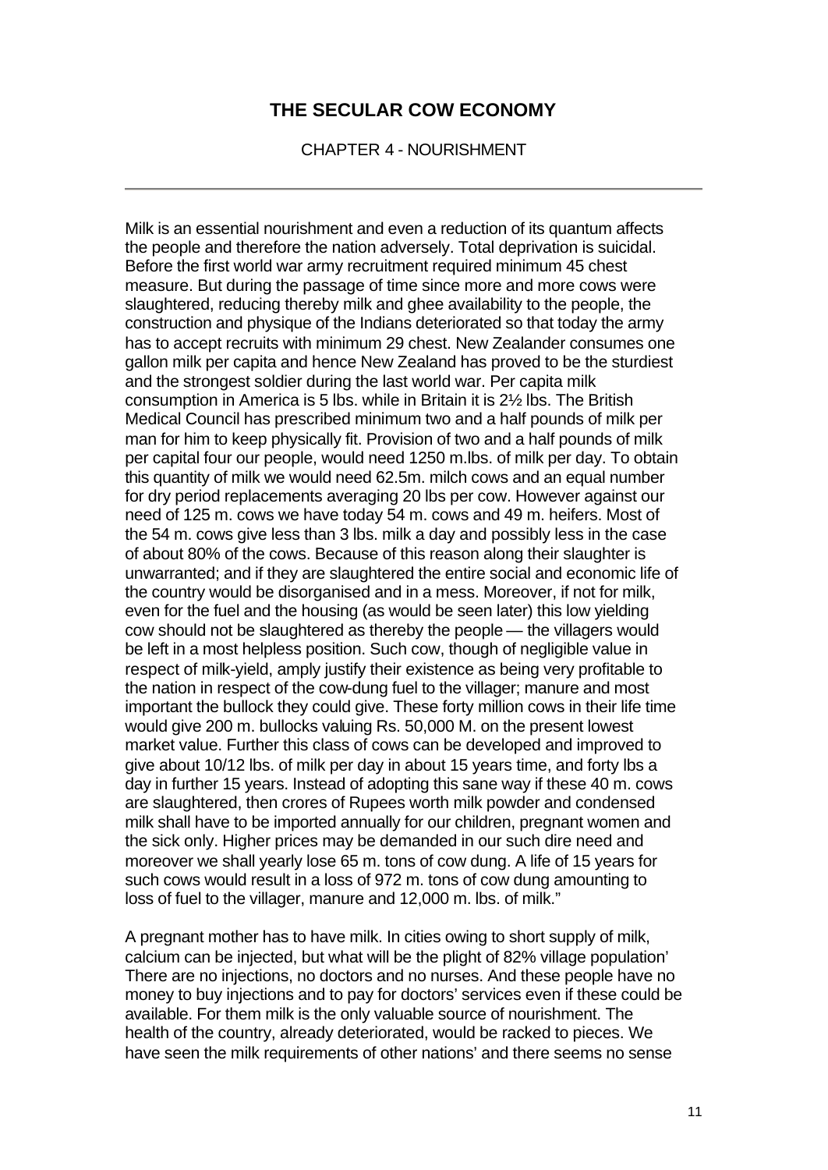CHAPTER 4 - NOURISHMENT

Milk is an essential nourishment and even a reduction of its quantum affects the people and therefore the nation adversely. Total deprivation is suicidal. Before the first world war army recruitment required minimum 45 chest measure. But during the passage of time since more and more cows were slaughtered, reducing thereby milk and ghee availability to the people, the construction and physique of the Indians deteriorated so that today the army has to accept recruits with minimum 29 chest. New Zealander consumes one gallon milk per capita and hence New Zealand has proved to be the sturdiest and the strongest soldier during the last world war. Per capita milk consumption in America is 5 lbs. while in Britain it is 2½ lbs. The British Medical Council has prescribed minimum two and a half pounds of milk per man for him to keep physically fit. Provision of two and a half pounds of milk per capital four our people, would need 1250 m.lbs. of milk per day. To obtain this quantity of milk we would need 62.5m. milch cows and an equal number for dry period replacements averaging 20 lbs per cow. However against our need of 125 m. cows we have today 54 m. cows and 49 m. heifers. Most of the 54 m. cows give less than 3 lbs. milk a day and possibly less in the case of about 80% of the cows. Because of this reason along their slaughter is unwarranted; and if they are slaughtered the entire social and economic life of the country would be disorganised and in a mess. Moreover, if not for milk, even for the fuel and the housing (as would be seen later) this low yielding cow should not be slaughtered as thereby the people — the villagers would be left in a most helpless position. Such cow, though of negligible value in respect of milk-yield, amply justify their existence as being very profitable to the nation in respect of the cow-dung fuel to the villager; manure and most important the bullock they could give. These forty million cows in their life time would give 200 m. bullocks valuing Rs. 50,000 M. on the present lowest market value. Further this class of cows can be developed and improved to give about 10/12 lbs. of milk per day in about 15 years time, and forty lbs a day in further 15 years. Instead of adopting this sane way if these 40 m. cows are slaughtered, then crores of Rupees worth milk powder and condensed milk shall have to be imported annually for our children, pregnant women and the sick only. Higher prices may be demanded in our such dire need and moreover we shall yearly lose 65 m. tons of cow dung. A life of 15 years for such cows would result in a loss of 972 m. tons of cow dung amounting to loss of fuel to the villager, manure and 12,000 m. lbs. of milk."

A pregnant mother has to have milk. In cities owing to short supply of milk, calcium can be injected, but what will be the plight of 82% village population' There are no injections, no doctors and no nurses. And these people have no money to buy injections and to pay for doctors' services even if these could be available. For them milk is the only valuable source of nourishment. The health of the country, already deteriorated, would be racked to pieces. We have seen the milk requirements of other nations' and there seems no sense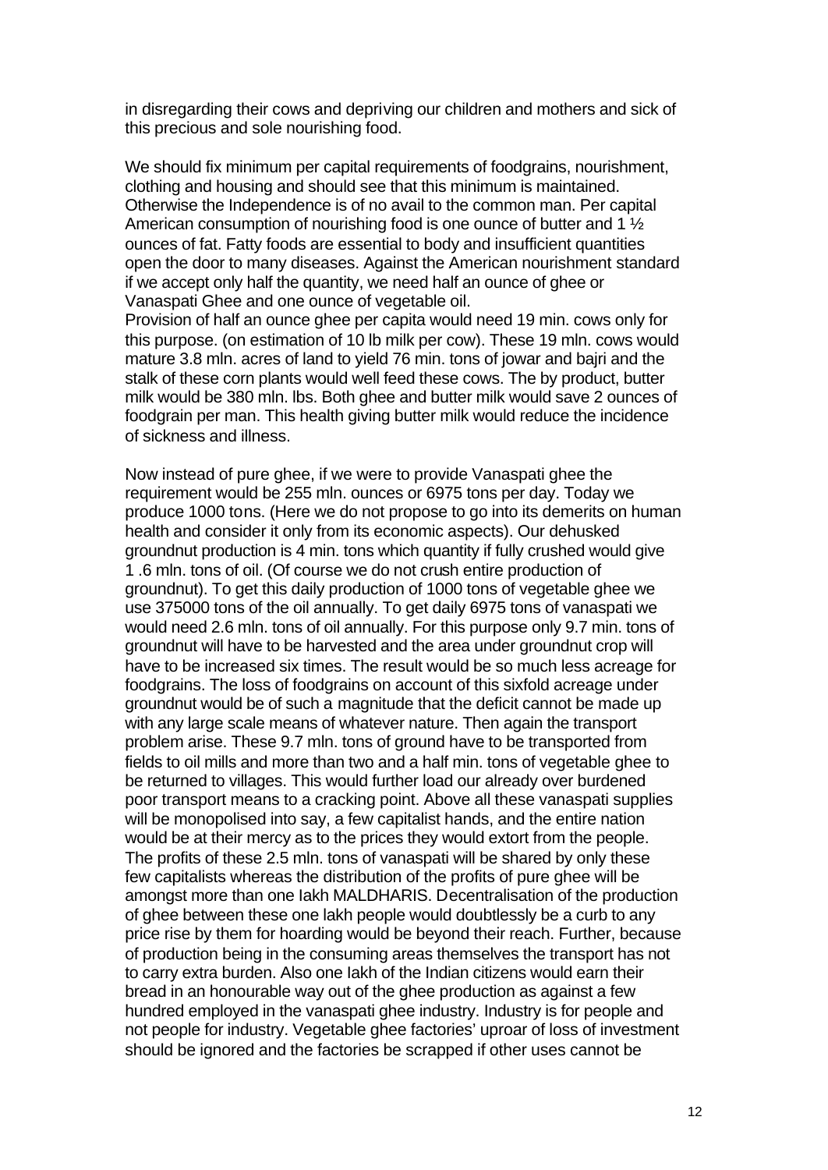in disregarding their cows and depriving our children and mothers and sick of this precious and sole nourishing food.

We should fix minimum per capital requirements of foodgrains, nourishment, clothing and housing and should see that this minimum is maintained. Otherwise the Independence is of no avail to the common man. Per capital American consumption of nourishing food is one ounce of butter and 1 ½ ounces of fat. Fatty foods are essential to body and insufficient quantities open the door to many diseases. Against the American nourishment standard if we accept only half the quantity, we need half an ounce of ghee or Vanaspati Ghee and one ounce of vegetable oil.

Provision of half an ounce ghee per capita would need 19 min. cows only for this purpose. (on estimation of 10 lb milk per cow). These 19 mln. cows would mature 3.8 mln. acres of land to yield 76 min. tons of jowar and bajri and the stalk of these corn plants would well feed these cows. The by product, butter milk would be 380 mln. lbs. Both ghee and butter milk would save 2 ounces of foodgrain per man. This health giving butter milk would reduce the incidence of sickness and illness.

Now instead of pure ghee, if we were to provide Vanaspati ghee the requirement would be 255 mln. ounces or 6975 tons per day. Today we produce 1000 tons. (Here we do not propose to go into its demerits on human health and consider it only from its economic aspects). Our dehusked groundnut production is 4 min. tons which quantity if fully crushed would give 1 .6 mln. tons of oil. (Of course we do not crush entire production of groundnut). To get this daily production of 1000 tons of vegetable ghee we use 375000 tons of the oil annually. To get daily 6975 tons of vanaspati we would need 2.6 mln. tons of oil annually. For this purpose only 9.7 min. tons of groundnut will have to be harvested and the area under groundnut crop will have to be increased six times. The result would be so much less acreage for foodgrains. The loss of foodgrains on account of this sixfold acreage under groundnut would be of such a magnitude that the deficit cannot be made up with any large scale means of whatever nature. Then again the transport problem arise. These 9.7 mln. tons of ground have to be transported from fields to oil mills and more than two and a half min. tons of vegetable ghee to be returned to villages. This would further load our already over burdened poor transport means to a cracking point. Above all these vanaspati supplies will be monopolised into say, a few capitalist hands, and the entire nation would be at their mercy as to the prices they would extort from the people. The profits of these 2.5 mln. tons of vanaspati will be shared by only these few capitalists whereas the distribution of the profits of pure ghee will be amongst more than one Iakh MALDHARIS. Decentralisation of the production of ghee between these one lakh people would doubtlessly be a curb to any price rise by them for hoarding would be beyond their reach. Further, because of production being in the consuming areas themselves the transport has not to carry extra burden. Also one Iakh of the Indian citizens would earn their bread in an honourable way out of the ghee production as against a few hundred employed in the vanaspati ghee industry. Industry is for people and not people for industry. Vegetable ghee factories' uproar of loss of investment should be ignored and the factories be scrapped if other uses cannot be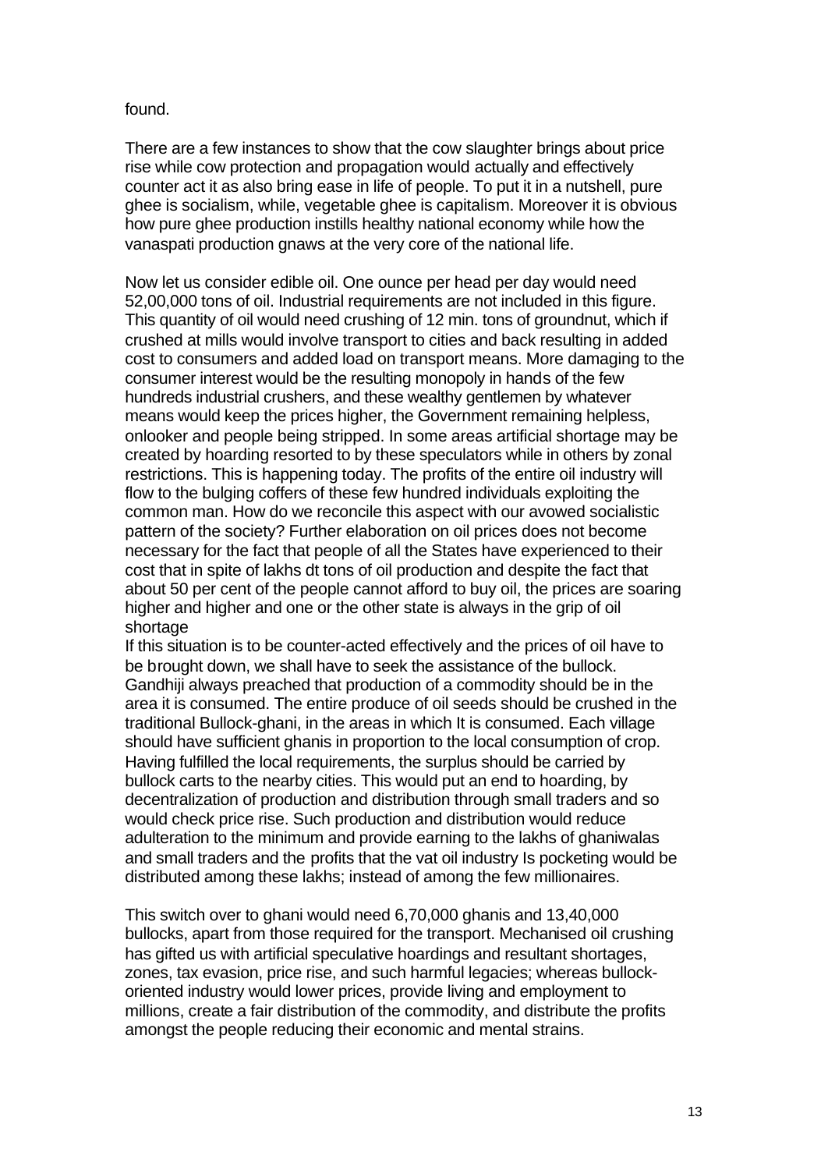#### found.

There are a few instances to show that the cow slaughter brings about price rise while cow protection and propagation would actually and effectively counter act it as also bring ease in life of people. To put it in a nutshell, pure ghee is socialism, while, vegetable ghee is capitalism. Moreover it is obvious how pure ghee production instills healthy national economy while how the vanaspati production gnaws at the very core of the national life.

Now let us consider edible oil. One ounce per head per day would need 52,00,000 tons of oil. Industrial requirements are not included in this figure. This quantity of oil would need crushing of 12 min. tons of groundnut, which if crushed at mills would involve transport to cities and back resulting in added cost to consumers and added load on transport means. More damaging to the consumer interest would be the resulting monopoly in hands of the few hundreds industrial crushers, and these wealthy gentlemen by whatever means would keep the prices higher, the Government remaining helpless, onlooker and people being stripped. In some areas artificial shortage may be created by hoarding resorted to by these speculators while in others by zonal restrictions. This is happening today. The profits of the entire oil industry will flow to the bulging coffers of these few hundred individuals exploiting the common man. How do we reconcile this aspect with our avowed socialistic pattern of the society? Further elaboration on oil prices does not become necessary for the fact that people of all the States have experienced to their cost that in spite of lakhs dt tons of oil production and despite the fact that about 50 per cent of the people cannot afford to buy oil, the prices are soaring higher and higher and one or the other state is always in the grip of oil shortage

If this situation is to be counter-acted effectively and the prices of oil have to be brought down, we shall have to seek the assistance of the bullock. Gandhiji always preached that production of a commodity should be in the area it is consumed. The entire produce of oil seeds should be crushed in the traditional Bullock-ghani, in the areas in which It is consumed. Each village should have sufficient ghanis in proportion to the local consumption of crop. Having fulfilled the local requirements, the surplus should be carried by bullock carts to the nearby cities. This would put an end to hoarding, by decentralization of production and distribution through small traders and so would check price rise. Such production and distribution would reduce adulteration to the minimum and provide earning to the lakhs of ghaniwalas and small traders and the profits that the vat oil industry Is pocketing would be distributed among these lakhs; instead of among the few millionaires.

This switch over to ghani would need 6,70,000 ghanis and 13,40,000 bullocks, apart from those required for the transport. Mechanised oil crushing has gifted us with artificial speculative hoardings and resultant shortages, zones, tax evasion, price rise, and such harmful legacies; whereas bullockoriented industry would lower prices, provide living and employment to millions, create a fair distribution of the commodity, and distribute the profits amongst the people reducing their economic and mental strains.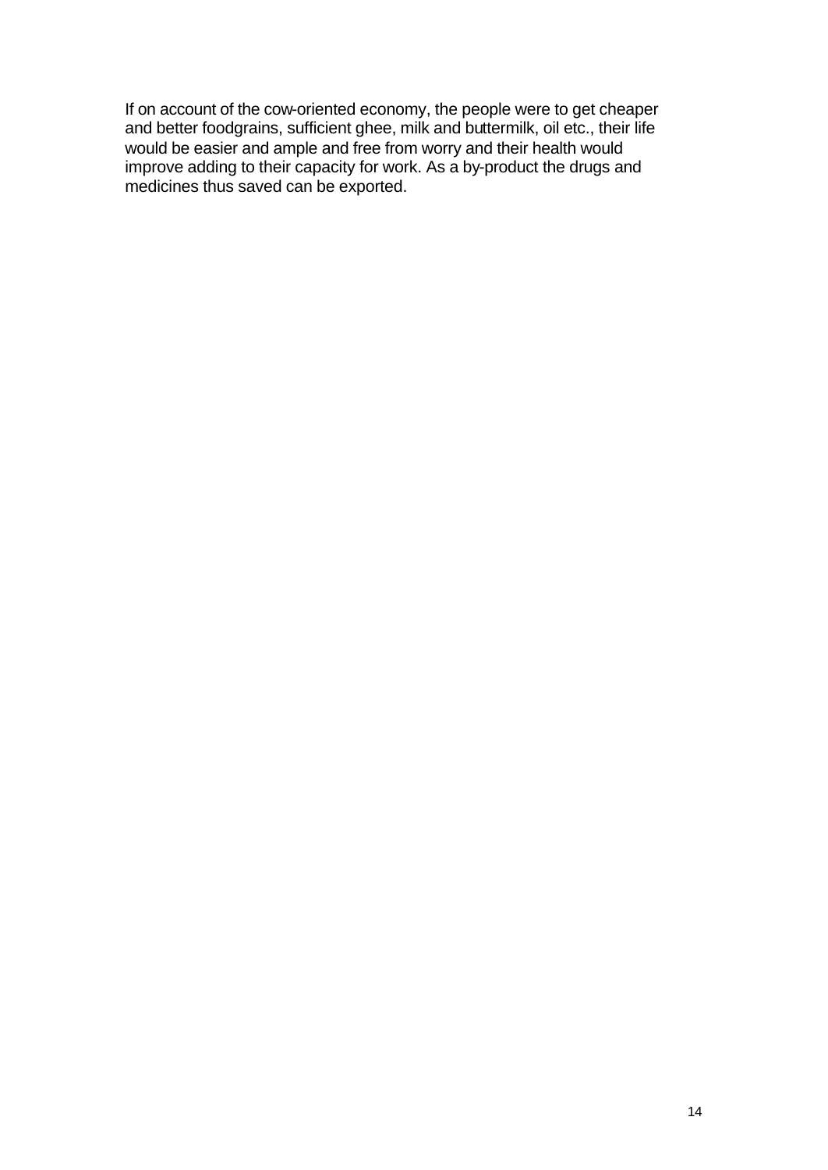If on account of the cow-oriented economy, the people were to get cheaper and better foodgrains, sufficient ghee, milk and buttermilk, oil etc., their life would be easier and ample and free from worry and their health would improve adding to their capacity for work. As a by-product the drugs and medicines thus saved can be exported.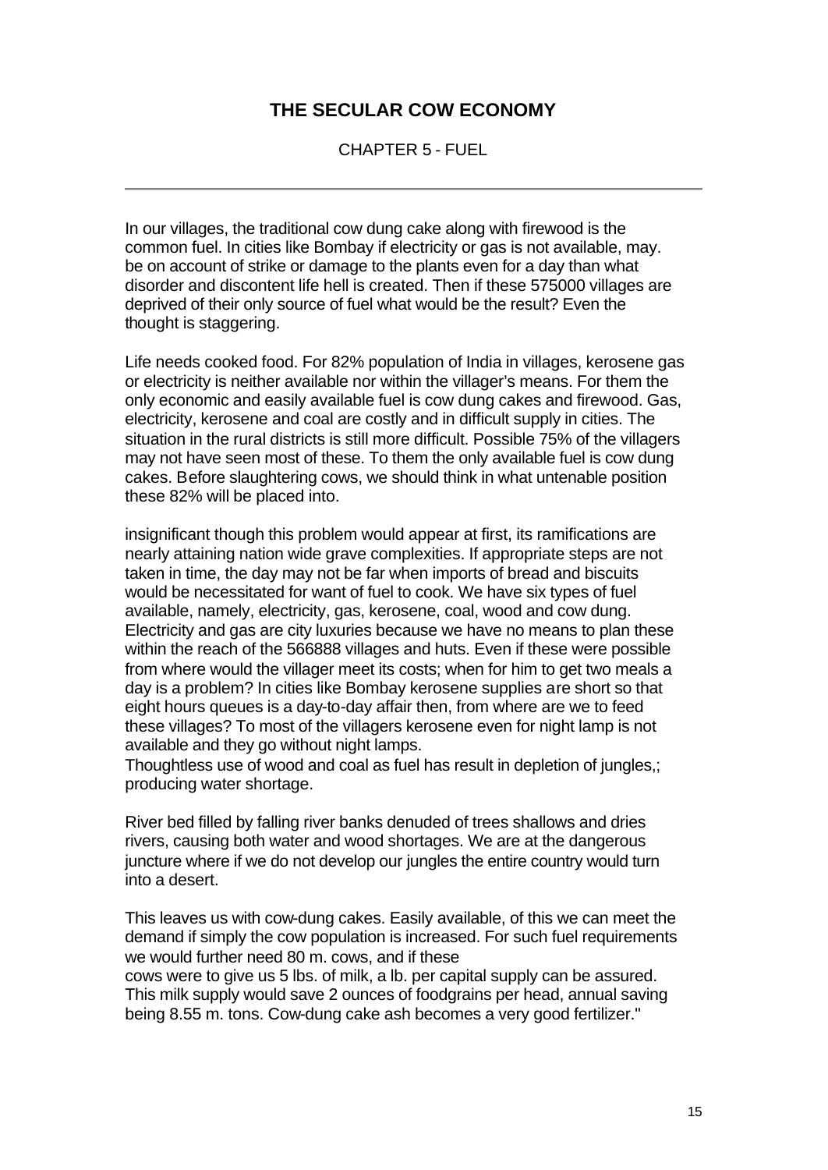CHAPTER 5 - FUEL

In our villages, the traditional cow dung cake along with firewood is the common fuel. In cities like Bombay if electricity or gas is not available, may. be on account of strike or damage to the plants even for a day than what disorder and discontent life hell is created. Then if these 575000 villages are deprived of their only source of fuel what would be the result? Even the thought is staggering.

Life needs cooked food. For 82% population of India in villages, kerosene gas or electricity is neither available nor within the villager's means. For them the only economic and easily available fuel is cow dung cakes and firewood. Gas, electricity, kerosene and coal are costly and in difficult supply in cities. The situation in the rural districts is still more difficult. Possible 75% of the villagers may not have seen most of these. To them the only available fuel is cow dung cakes. Before slaughtering cows, we should think in what untenable position these 82% will be placed into.

insignificant though this problem would appear at first, its ramifications are nearly attaining nation wide grave complexities. If appropriate steps are not taken in time, the day may not be far when imports of bread and biscuits would be necessitated for want of fuel to cook. We have six types of fuel available, namely, electricity, gas, kerosene, coal, wood and cow dung. Electricity and gas are city luxuries because we have no means to plan these within the reach of the 566888 villages and huts. Even if these were possible from where would the villager meet its costs; when for him to get two meals a day is a problem? In cities like Bombay kerosene supplies are short so that eight hours queues is a day-to-day affair then, from where are we to feed these villages? To most of the villagers kerosene even for night lamp is not available and they go without night lamps.

Thoughtless use of wood and coal as fuel has result in depletion of jungles,; producing water shortage.

River bed filled by falling river banks denuded of trees shallows and dries rivers, causing both water and wood shortages. We are at the dangerous juncture where if we do not develop our jungles the entire country would turn into a desert.

This leaves us with cow-dung cakes. Easily available, of this we can meet the demand if simply the cow population is increased. For such fuel requirements we would further need 80 m. cows, and if these cows were to give us 5 lbs. of milk, a lb. per capital supply can be assured.

This milk supply would save 2 ounces of foodgrains per head, annual saving being 8.55 m. tons. Cow-dung cake ash becomes a very good fertilizer."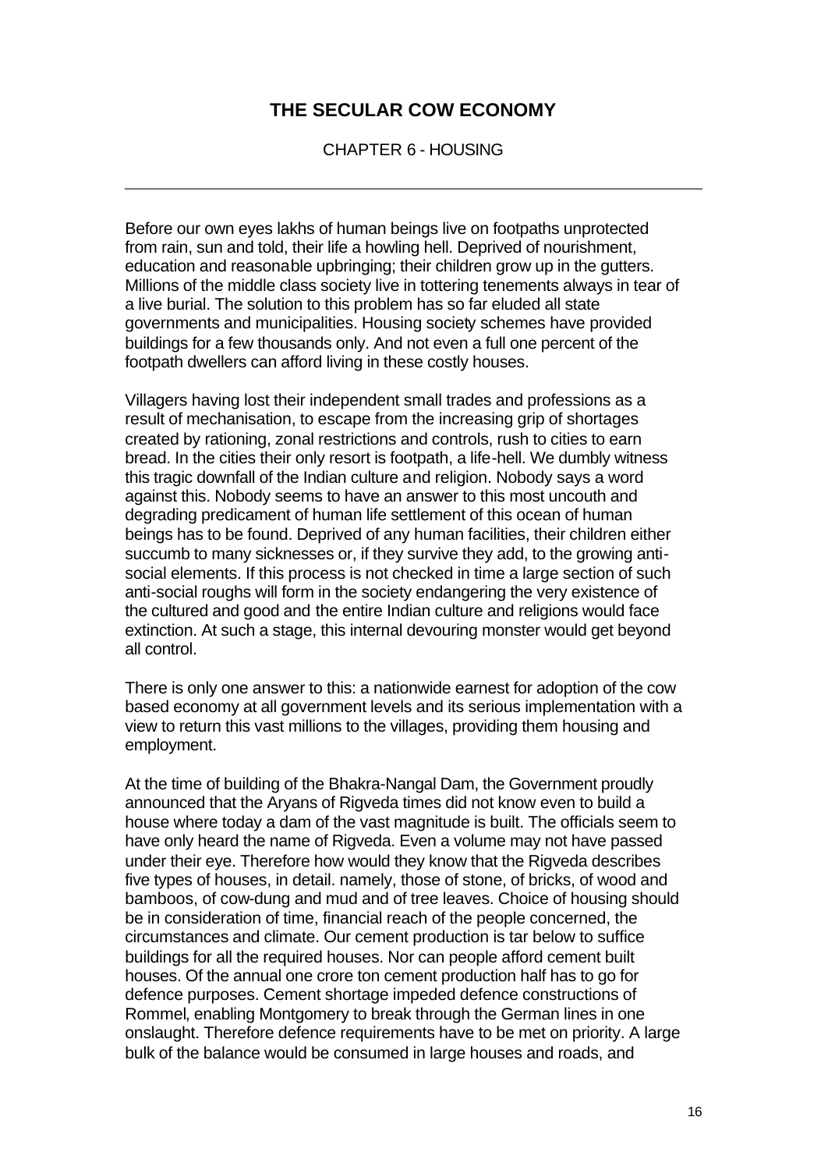CHAPTER 6 - HOUSING

Before our own eyes lakhs of human beings live on footpaths unprotected from rain, sun and told, their life a howling hell. Deprived of nourishment, education and reasonable upbringing; their children grow up in the gutters. Millions of the middle class society live in tottering tenements always in tear of a live burial. The solution to this problem has so far eluded all state governments and municipalities. Housing society schemes have provided buildings for a few thousands only. And not even a full one percent of the footpath dwellers can afford living in these costly houses.

Villagers having lost their independent small trades and professions as a result of mechanisation, to escape from the increasing grip of shortages created by rationing, zonal restrictions and controls, rush to cities to earn bread. In the cities their only resort is footpath, a life-hell. We dumbly witness this tragic downfall of the Indian culture and religion. Nobody says a word against this. Nobody seems to have an answer to this most uncouth and degrading predicament of human life settlement of this ocean of human beings has to be found. Deprived of any human facilities, their children either succumb to many sicknesses or, if they survive they add, to the growing antisocial elements. If this process is not checked in time a large section of such anti-social roughs will form in the society endangering the very existence of the cultured and good and the entire Indian culture and religions would face extinction. At such a stage, this internal devouring monster would get beyond all control.

There is only one answer to this: a nationwide earnest for adoption of the cow based economy at all government levels and its serious implementation with a view to return this vast millions to the villages, providing them housing and employment.

At the time of building of the Bhakra-Nangal Dam, the Government proudly announced that the Aryans of Rigveda times did not know even to build a house where today a dam of the vast magnitude is built. The officials seem to have only heard the name of Rigveda. Even a volume may not have passed under their eye. Therefore how would they know that the Rigveda describes five types of houses, in detail. namely, those of stone, of bricks, of wood and bamboos, of cow-dung and mud and of tree leaves. Choice of housing should be in consideration of time, financial reach of the people concerned, the circumstances and climate. Our cement production is tar below to suffice buildings for all the required houses. Nor can people afford cement built houses. Of the annual one crore ton cement production half has to go for defence purposes. Cement shortage impeded defence constructions of Rommel, enabling Montgomery to break through the German lines in one onslaught. Therefore defence requirements have to be met on priority. A large bulk of the balance would be consumed in large houses and roads, and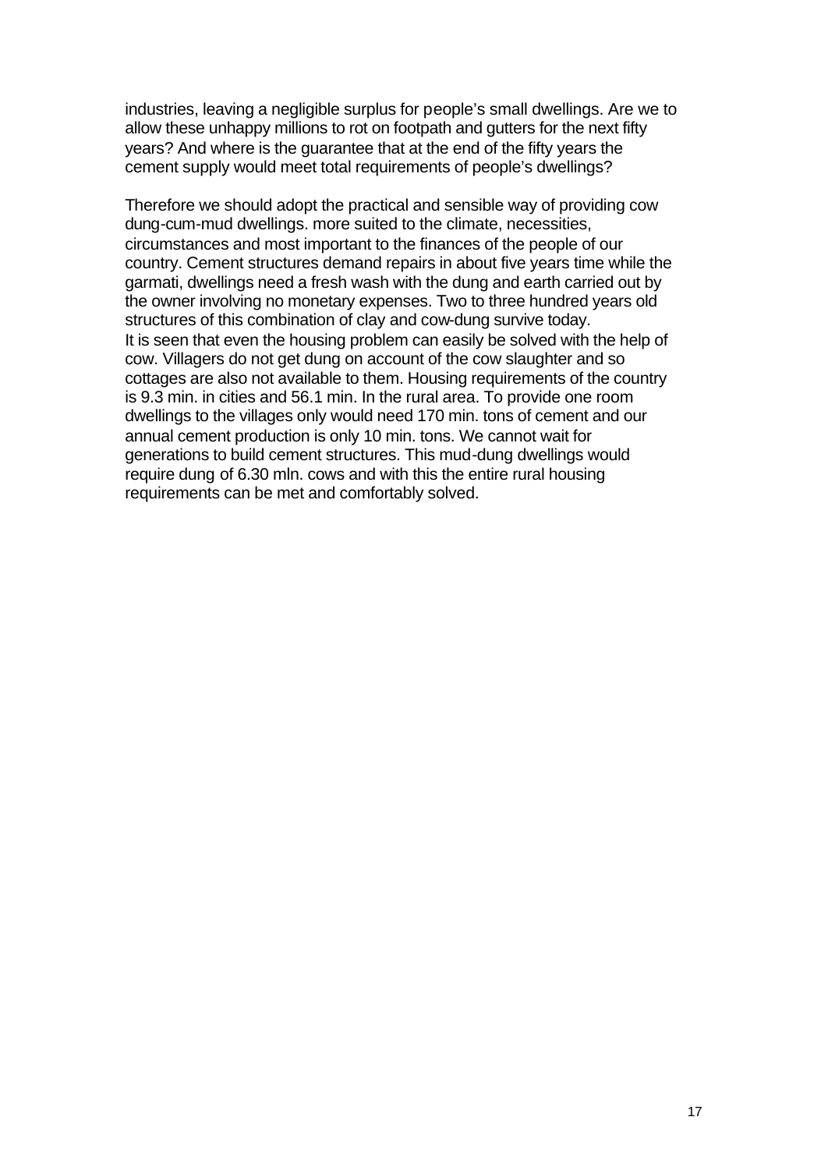industries, leaving a negligible surplus for people's small dwellings. Are we to allow these unhappy millions to rot on footpath and gutters for the next fifty years? And where is the guarantee that at the end of the fifty years the cement supply would meet total requirements of people's dwellings?

Therefore we should adopt the practical and sensible way of providing cow dung-cum-mud dwellings. more suited to the climate, necessities, circumstances and most important to the finances of the people of our country. Cement structures demand repairs in about five years time while the garmati, dwellings need a fresh wash with the dung and earth carried out by the owner involving no monetary expenses. Two to three hundred years old structures of this combination of clay and cow-dung survive today. It is seen that even the housing problem can easily be solved with the help of cow. Villagers do not get dung on account of the cow slaughter and so cottages are also not available to them. Housing requirements of the country is 9.3 min. in cities and 56.1 min. In the rural area. To provide one room dwellings to the villages only would need 170 min. tons of cement and our annual cement production is only 10 min. tons. We cannot wait for generations to build cement structures. This mud-dung dwellings would require dung of 6.30 mln. cows and with this the entire rural housing requirements can be met and comfortably solved.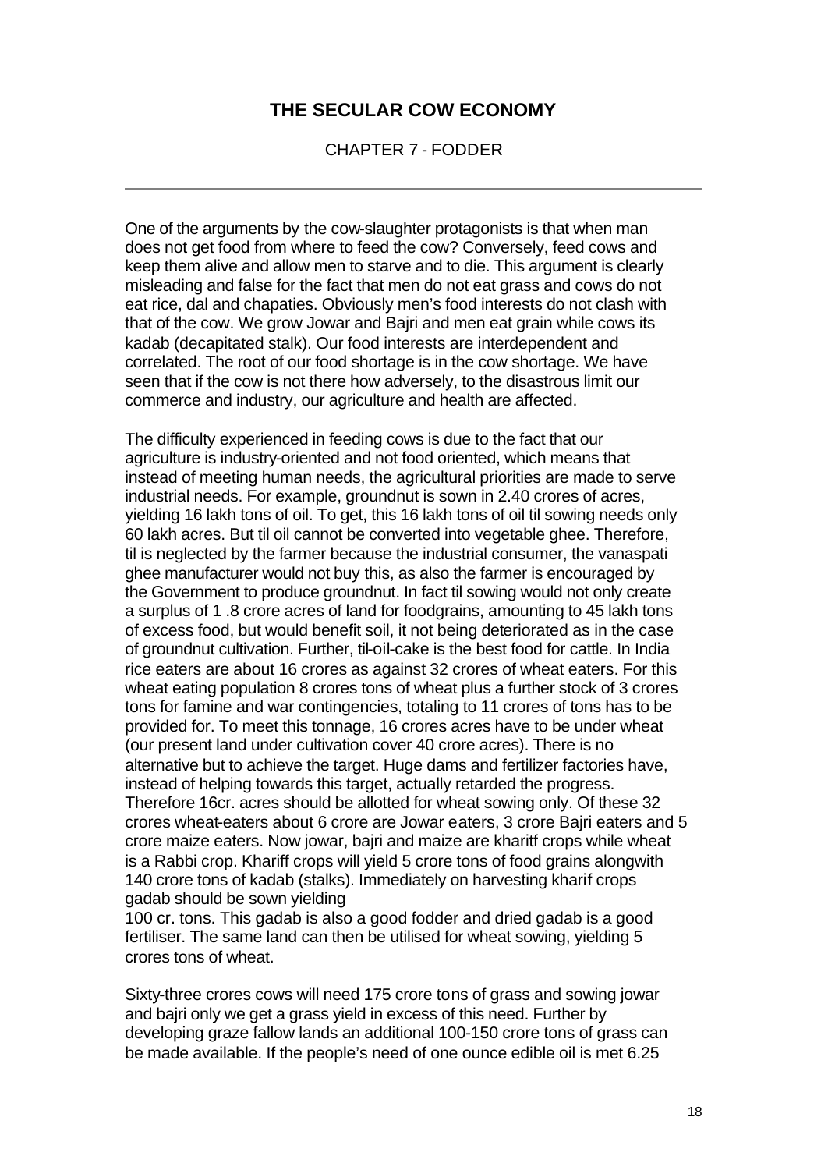CHAPTER 7 - FODDER

One of the arguments by the cow-slaughter protagonists is that when man does not get food from where to feed the cow? Conversely, feed cows and keep them alive and allow men to starve and to die. This argument is clearly misleading and false for the fact that men do not eat grass and cows do not eat rice, dal and chapaties. Obviously men's food interests do not clash with that of the cow. We grow Jowar and Bajri and men eat grain while cows its kadab (decapitated stalk). Our food interests are interdependent and correlated. The root of our food shortage is in the cow shortage. We have seen that if the cow is not there how adversely, to the disastrous limit our commerce and industry, our agriculture and health are affected.

The difficulty experienced in feeding cows is due to the fact that our agriculture is industry-oriented and not food oriented, which means that instead of meeting human needs, the agricultural priorities are made to serve industrial needs. For example, groundnut is sown in 2.40 crores of acres, yielding 16 lakh tons of oil. To get, this 16 lakh tons of oil til sowing needs only 60 lakh acres. But til oil cannot be converted into vegetable ghee. Therefore, til is neglected by the farmer because the industrial consumer, the vanaspati ghee manufacturer would not buy this, as also the farmer is encouraged by the Government to produce groundnut. In fact til sowing would not only create a surplus of 1 .8 crore acres of land for foodgrains, amounting to 45 lakh tons of excess food, but would benefit soil, it not being deteriorated as in the case of groundnut cultivation. Further, til-oil-cake is the best food for cattle. In India rice eaters are about 16 crores as against 32 crores of wheat eaters. For this wheat eating population 8 crores tons of wheat plus a further stock of 3 crores tons for famine and war contingencies, totaling to 11 crores of tons has to be provided for. To meet this tonnage, 16 crores acres have to be under wheat (our present land under cultivation cover 40 crore acres). There is no alternative but to achieve the target. Huge dams and fertilizer factories have, instead of helping towards this target, actually retarded the progress. Therefore 16cr. acres should be allotted for wheat sowing only. Of these 32 crores wheat-eaters about 6 crore are Jowar eaters, 3 crore Bajri eaters and 5 crore maize eaters. Now jowar, bajri and maize are kharitf crops while wheat is a Rabbi crop. Khariff crops will yield 5 crore tons of food grains alongwith 140 crore tons of kadab (stalks). Immediately on harvesting kharif crops gadab should be sown yielding

100 cr. tons. This gadab is also a good fodder and dried gadab is a good fertiliser. The same land can then be utilised for wheat sowing, yielding 5 crores tons of wheat.

Sixty-three crores cows will need 175 crore tons of grass and sowing jowar and bajri only we get a grass yield in excess of this need. Further by developing graze fallow lands an additional 100-150 crore tons of grass can be made available. If the people's need of one ounce edible oil is met 6.25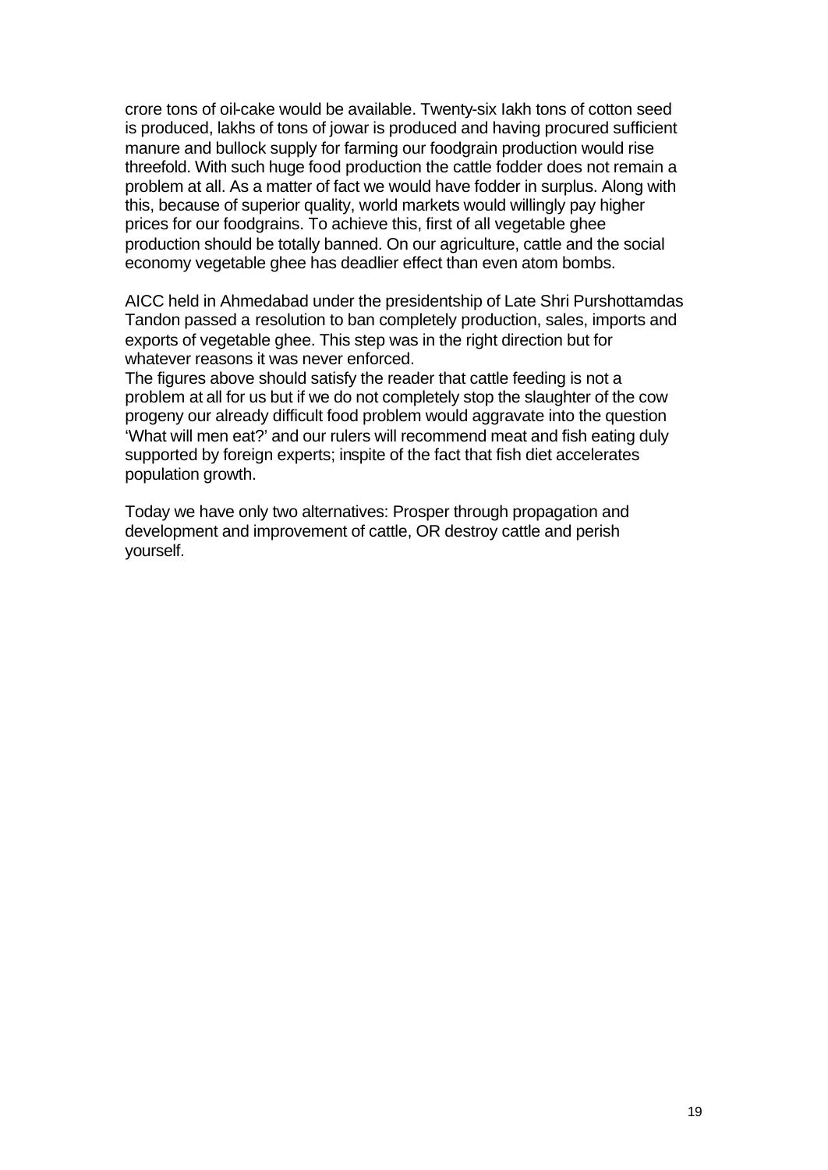crore tons of oil-cake would be available. Twenty-six Iakh tons of cotton seed is produced, lakhs of tons of jowar is produced and having procured sufficient manure and bullock supply for farming our foodgrain production would rise threefold. With such huge food production the cattle fodder does not remain a problem at all. As a matter of fact we would have fodder in surplus. Along with this, because of superior quality, world markets would willingly pay higher prices for our foodgrains. To achieve this, first of all vegetable ghee production should be totally banned. On our agriculture, cattle and the social economy vegetable ghee has deadlier effect than even atom bombs.

AICC held in Ahmedabad under the presidentship of Late Shri Purshottamdas Tandon passed a resolution to ban completely production, sales, imports and exports of vegetable ghee. This step was in the right direction but for whatever reasons it was never enforced.

The figures above should satisfy the reader that cattle feeding is not a problem at all for us but if we do not completely stop the slaughter of the cow progeny our already difficult food problem would aggravate into the question 'What will men eat?' and our rulers will recommend meat and fish eating duly supported by foreign experts; inspite of the fact that fish diet accelerates population growth.

Today we have only two alternatives: Prosper through propagation and development and improvement of cattle, OR destroy cattle and perish yourself.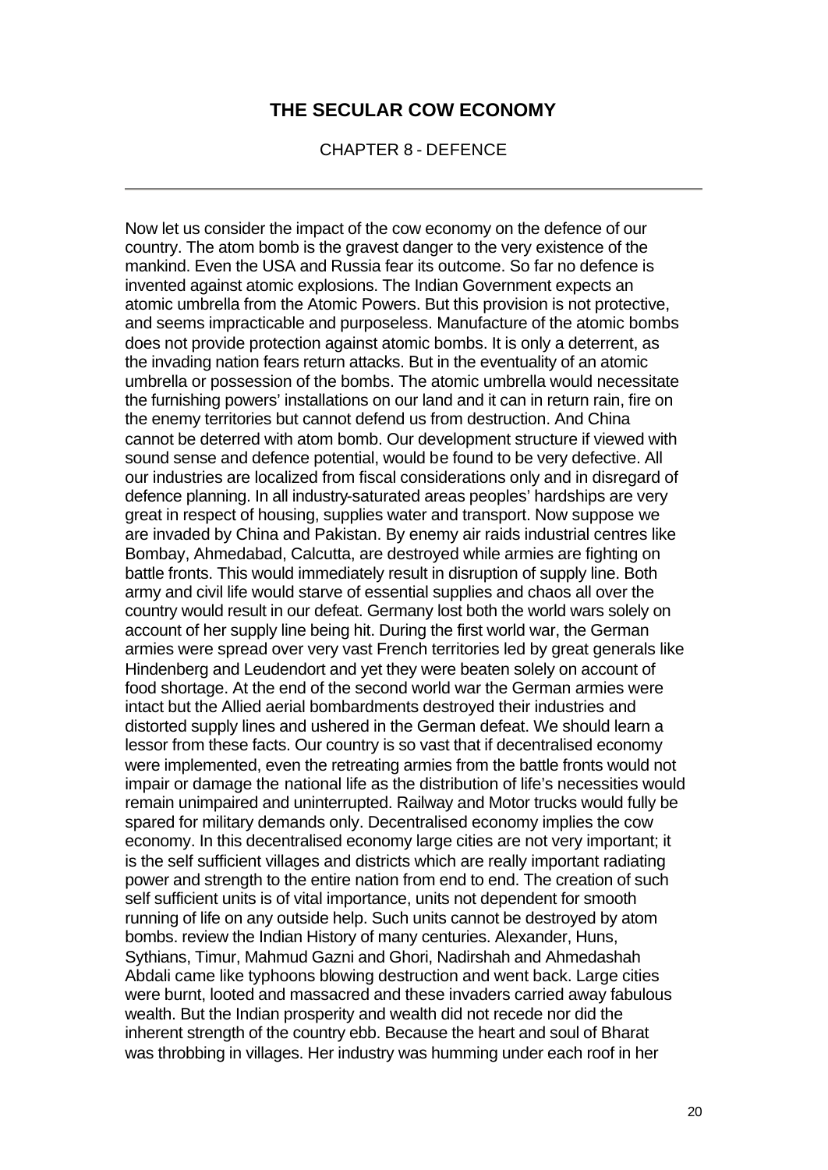CHAPTER 8 - DEFENCE

Now let us consider the impact of the cow economy on the defence of our country. The atom bomb is the gravest danger to the very existence of the mankind. Even the USA and Russia fear its outcome. So far no defence is invented against atomic explosions. The Indian Government expects an atomic umbrella from the Atomic Powers. But this provision is not protective, and seems impracticable and purposeless. Manufacture of the atomic bombs does not provide protection against atomic bombs. It is only a deterrent, as the invading nation fears return attacks. But in the eventuality of an atomic umbrella or possession of the bombs. The atomic umbrella would necessitate the furnishing powers' installations on our land and it can in return rain, fire on the enemy territories but cannot defend us from destruction. And China cannot be deterred with atom bomb. Our development structure if viewed with sound sense and defence potential, would be found to be very defective. All our industries are localized from fiscal considerations only and in disregard of defence planning. In all industry-saturated areas peoples' hardships are very great in respect of housing, supplies water and transport. Now suppose we are invaded by China and Pakistan. By enemy air raids industrial centres like Bombay, Ahmedabad, Calcutta, are destroyed while armies are fighting on battle fronts. This would immediately result in disruption of supply line. Both army and civil life would starve of essential supplies and chaos all over the country would result in our defeat. Germany lost both the world wars solely on account of her supply line being hit. During the first world war, the German armies were spread over very vast French territories led by great generals like Hindenberg and Leudendort and yet they were beaten solely on account of food shortage. At the end of the second world war the German armies were intact but the Allied aerial bombardments destroyed their industries and distorted supply lines and ushered in the German defeat. We should learn a lessor from these facts. Our country is so vast that if decentralised economy were implemented, even the retreating armies from the battle fronts would not impair or damage the national life as the distribution of life's necessities would remain unimpaired and uninterrupted. Railway and Motor trucks would fully be spared for military demands only. Decentralised economy implies the cow economy. In this decentralised economy large cities are not very important; it is the self sufficient villages and districts which are really important radiating power and strength to the entire nation from end to end. The creation of such self sufficient units is of vital importance, units not dependent for smooth running of life on any outside help. Such units cannot be destroyed by atom bombs. review the Indian History of many centuries. Alexander, Huns, Sythians, Timur, Mahmud Gazni and Ghori, Nadirshah and Ahmedashah Abdali came like typhoons blowing destruction and went back. Large cities were burnt, looted and massacred and these invaders carried away fabulous wealth. But the Indian prosperity and wealth did not recede nor did the inherent strength of the country ebb. Because the heart and soul of Bharat was throbbing in villages. Her industry was humming under each roof in her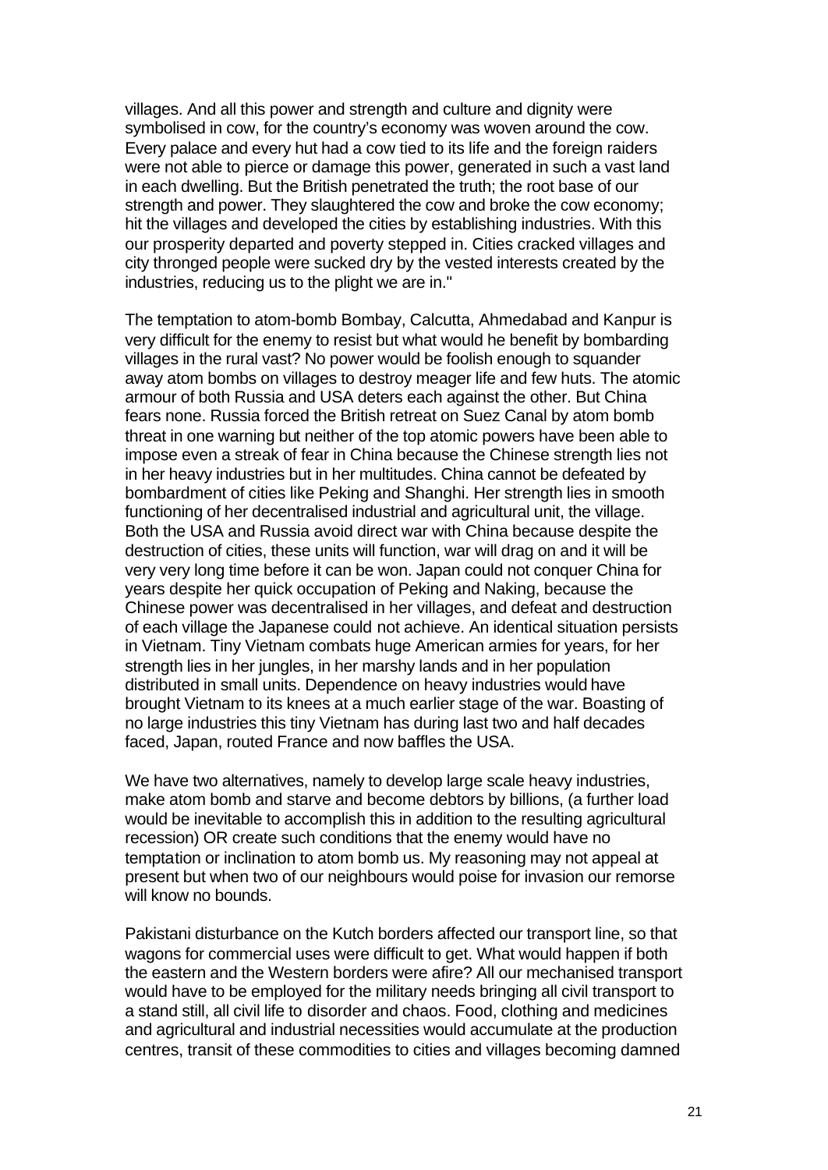villages. And all this power and strength and culture and dignity were symbolised in cow, for the country's economy was woven around the cow. Every palace and every hut had a cow tied to its life and the foreign raiders were not able to pierce or damage this power, generated in such a vast land in each dwelling. But the British penetrated the truth; the root base of our strength and power. They slaughtered the cow and broke the cow economy; hit the villages and developed the cities by establishing industries. With this our prosperity departed and poverty stepped in. Cities cracked villages and city thronged people were sucked dry by the vested interests created by the industries, reducing us to the plight we are in."

The temptation to atom-bomb Bombay, Calcutta, Ahmedabad and Kanpur is very difficult for the enemy to resist but what would he benefit by bombarding villages in the rural vast? No power would be foolish enough to squander away atom bombs on villages to destroy meager life and few huts. The atomic armour of both Russia and USA deters each against the other. But China fears none. Russia forced the British retreat on Suez Canal by atom bomb threat in one warning but neither of the top atomic powers have been able to impose even a streak of fear in China because the Chinese strength lies not in her heavy industries but in her multitudes. China cannot be defeated by bombardment of cities like Peking and Shanghi. Her strength lies in smooth functioning of her decentralised industrial and agricultural unit, the village. Both the USA and Russia avoid direct war with China because despite the destruction of cities, these units will function, war will drag on and it will be very very long time before it can be won. Japan could not conquer China for years despite her quick occupation of Peking and Naking, because the Chinese power was decentralised in her villages, and defeat and destruction of each village the Japanese could not achieve. An identical situation persists in Vietnam. Tiny Vietnam combats huge American armies for years, for her strength lies in her jungles, in her marshy lands and in her population distributed in small units. Dependence on heavy industries would have brought Vietnam to its knees at a much earlier stage of the war. Boasting of no large industries this tiny Vietnam has during last two and half decades faced, Japan, routed France and now baffles the USA.

We have two alternatives, namely to develop large scale heavy industries, make atom bomb and starve and become debtors by billions, (a further load would be inevitable to accomplish this in addition to the resulting agricultural recession) OR create such conditions that the enemy would have no temptation or inclination to atom bomb us. My reasoning may not appeal at present but when two of our neighbours would poise for invasion our remorse will know no bounds.

Pakistani disturbance on the Kutch borders affected our transport line, so that wagons for commercial uses were difficult to get. What would happen if both the eastern and the Western borders were afire? All our mechanised transport would have to be employed for the military needs bringing all civil transport to a stand still, all civil life to disorder and chaos. Food, clothing and medicines and agricultural and industrial necessities would accumulate at the production centres, transit of these commodities to cities and villages becoming damned